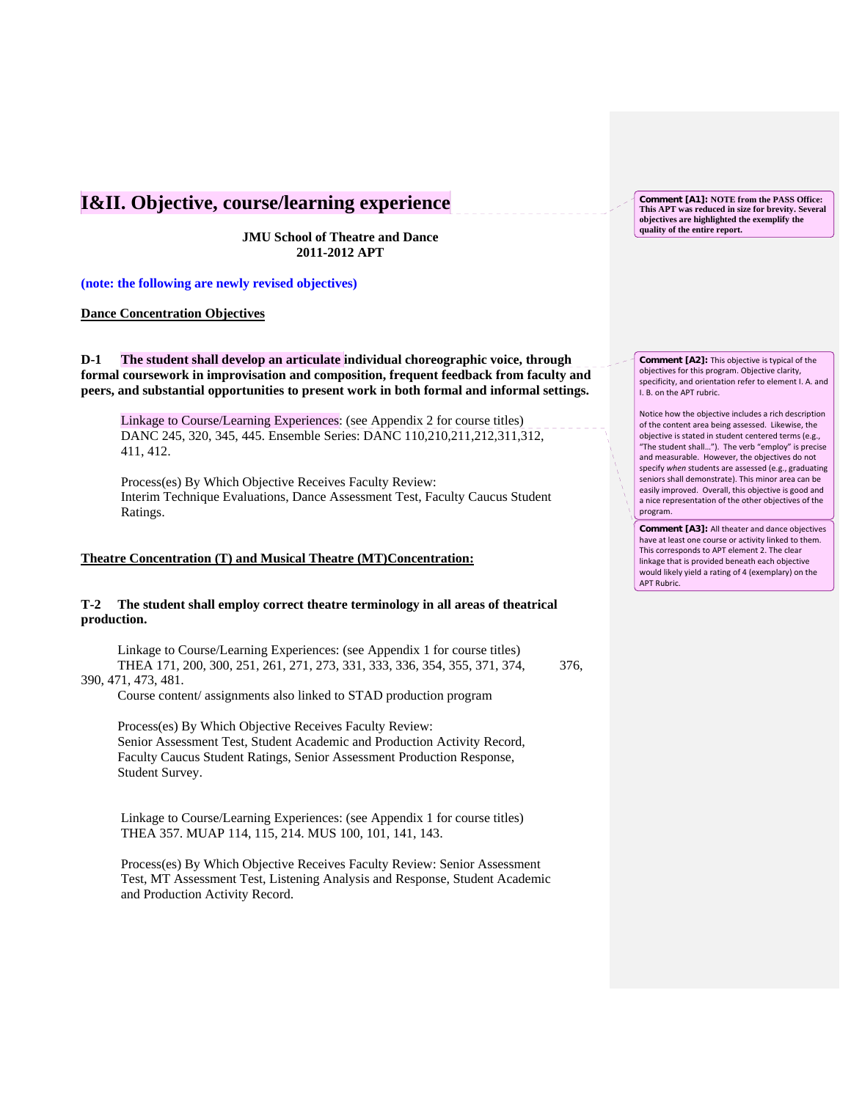## **I&II. Objective, course/learning experience**

**JMU School of Theatre and Dance 2011-2012 APT**

**(note: the following are newly revised objectives)** 

## **Dance Concentration Objectives**

**D-1 The student shall develop an articulate individual choreographic voice, through formal coursework in improvisation and composition, frequent feedback from faculty and peers, and substantial opportunities to present work in both formal and informal settings.**

Linkage to Course/Learning Experiences: (see Appendix 2 for course titles) DANC 245, 320, 345, 445. Ensemble Series: DANC 110,210,211,212,311,312, 411, 412.

 Process(es) By Which Objective Receives Faculty Review: Interim Technique Evaluations, Dance Assessment Test, Faculty Caucus Student Ratings.

## **Theatre Concentration (T) and Musical Theatre (MT)Concentration:**

## **T-2 The student shall employ correct theatre terminology in all areas of theatrical production.**

Linkage to Course/Learning Experiences: (see Appendix 1 for course titles) THEA 171, 200, 300, 251, 261, 271, 273, 331, 333, 336, 354, 355, 371, 374, 376, 390, 471, 473, 481.

Course content/ assignments also linked to STAD production program

 Process(es) By Which Objective Receives Faculty Review: Senior Assessment Test, Student Academic and Production Activity Record, Faculty Caucus Student Ratings, Senior Assessment Production Response, Student Survey.

Linkage to Course/Learning Experiences: (see Appendix 1 for course titles) THEA 357. MUAP 114, 115, 214. MUS 100, 101, 141, 143.

 Process(es) By Which Objective Receives Faculty Review: Senior Assessment Test, MT Assessment Test, Listening Analysis and Response, Student Academic and Production Activity Record.

**Comment [A1]: NOTE from the PASS Office: This APT was reduced in size for brevity. Several objectives are highlighted the exemplify the quality of the entire report.**

**Comment [A2]:** This objective is typical of the objectives for this program. Objective clarity, specificity, and orientation refer to element I. A. and I. B. on the APT rubric.

Notice how the objective includes a rich description of the content area being assessed. Likewise, the objective is stated in student centered terms (e.g., "The student shall…"). The verb "employ" is precise and measurable. However, the objectives do not specify *when* students are assessed (e.g., graduating seniors shall demonstrate). This minor area can be easily improved. Overall, this objective is good and a nice representation of the other objectives of the program.

**Comment [A3]:** All theater and dance objectives have at least one course or activity linked to them. This corresponds to APT element 2. The clear linkage that is provided beneath each objective would likely yield a rating of 4 (exemplary) on the APT Rubric.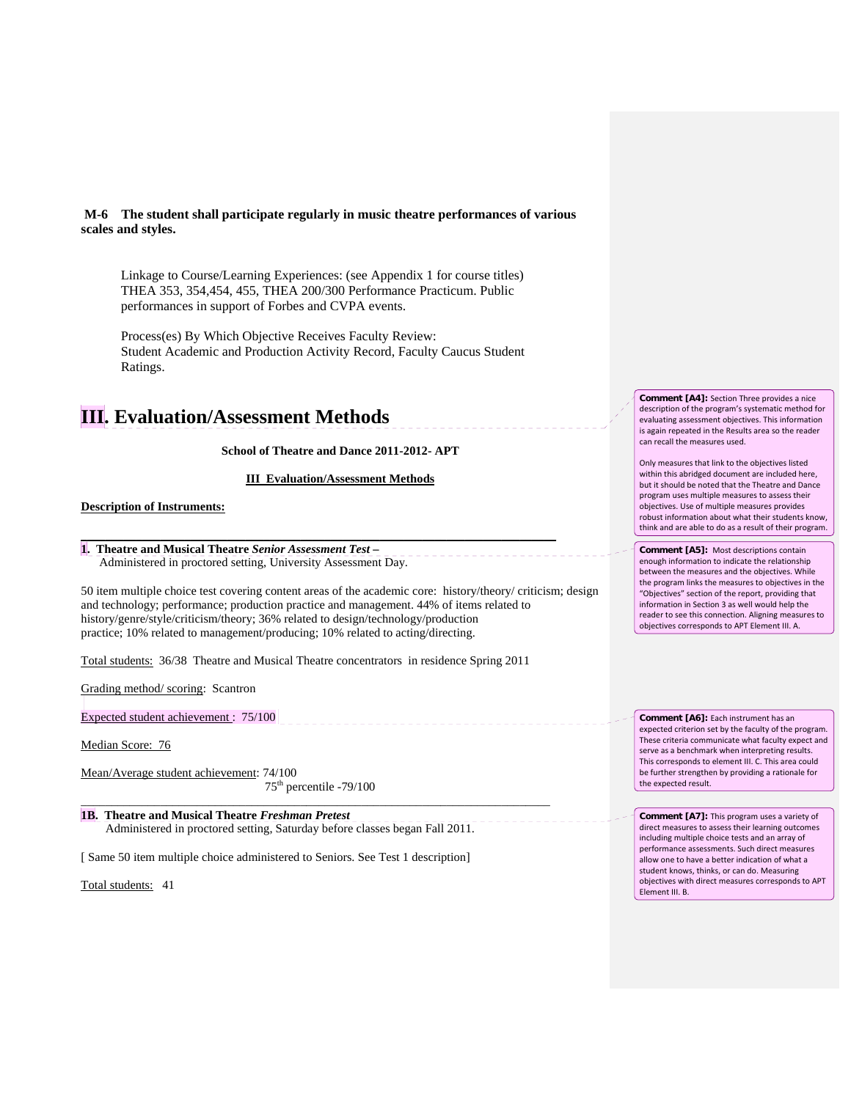**M-6 The student shall participate regularly in music theatre performances of various scales and styles.**

Linkage to Course/Learning Experiences: (see Appendix 1 for course titles) THEA 353, 354,454, 455, THEA 200/300 Performance Practicum. Public performances in support of Forbes and CVPA events.

Process(es) By Which Objective Receives Faculty Review: Student Academic and Production Activity Record, Faculty Caucus Student Ratings.

# **III. Evaluation/Assessment Methods**

## **School of Theatre and Dance 2011-2012- APT**

## **III Evaluation/Assessment Methods**

**\_\_\_\_\_\_\_\_\_\_\_\_\_\_\_\_\_\_\_\_\_\_\_\_\_\_\_\_\_\_\_\_\_\_\_\_\_\_\_\_\_\_\_\_\_\_\_\_\_\_\_\_\_\_\_\_\_\_\_\_\_\_\_\_\_\_\_\_\_\_\_\_\_\_\_\_\_\_**

## **Description of Instruments:**

**1. Theatre and Musical Theatre** *Senior Assessment Test* **–** Administered in proctored setting, University Assessment Day.

50 item multiple choice test covering content areas of the academic core: history/theory/ criticism; design and technology; performance; production practice and management. 44% of items related to history/genre/style/criticism/theory; 36% related to design/technology/production practice; 10% related to management/producing; 10% related to acting/directing.

\_\_\_\_\_\_\_\_\_\_\_\_\_\_\_\_\_\_\_\_\_\_\_\_\_\_\_\_\_\_\_\_

\_\_\_\_\_\_\_\_\_\_\_\_\_\_\_\_\_\_\_\_\_\_\_

Total students: 36/38 Theatre and Musical Theatre concentrators in residence Spring 2011

Grading method/ scoring: Scantron

Expected student achievement : 75/100

Median Score: 76

Mean/Average student achievement: 74/100

 75th percentile -79/100 \_\_\_\_\_\_\_\_\_\_\_\_\_\_\_\_\_\_\_\_\_\_\_\_\_\_\_\_\_\_\_\_\_\_\_\_\_\_\_\_\_\_\_\_\_\_\_\_\_\_\_\_\_\_\_\_\_\_\_\_\_\_\_\_\_\_\_\_\_\_\_\_\_\_\_\_\_

**1B. Theatre and Musical Theatre** *Freshman Pretest* Administered in proctored setting, Saturday before classes began Fall 2011.

[ Same 50 item multiple choice administered to Seniors. See Test 1 description]

Total students: 41

**Comment [A4]:** Section Three provides a nice description of the program's systematic method for evaluating assessment objectives. This information is again repeated in the Results area so the reader can recall the measures used.

Only measures that link to the objectives listed within this abridged document are included here, but it should be noted that the Theatre and Dance program uses multiple measures to assess their objectives. Use of multiple measures provides robust information about what their students know, think and are able to do as a result of their program.

**Comment [A5]:** Most descriptions contain enough information to indicate the relationship between the measures and the objectives. While the program links the measures to objectives in the "Objectives" section of the report, providing that information in Section 3 as well would help the reader to see this connection. Aligning measures to objectives corresponds to APT Element III. A.

**Comment [A6]:** Each instrument has an expected criterion set by the faculty of the program. These criteria communicate what faculty expect and serve as a benchmark when interpreting results. This corresponds to element III. C. This area could be further strengthen by providing a rationale for the expected result.

**Comment [A7]:** This program uses a variety of direct measures to assess their learning outcomes including multiple choice tests and an array of performance assessments. Such direct measures allow one to have a better indication of what a student knows, thinks, or can do. Measuring objectives with direct measures corresponds to APT Element III. B.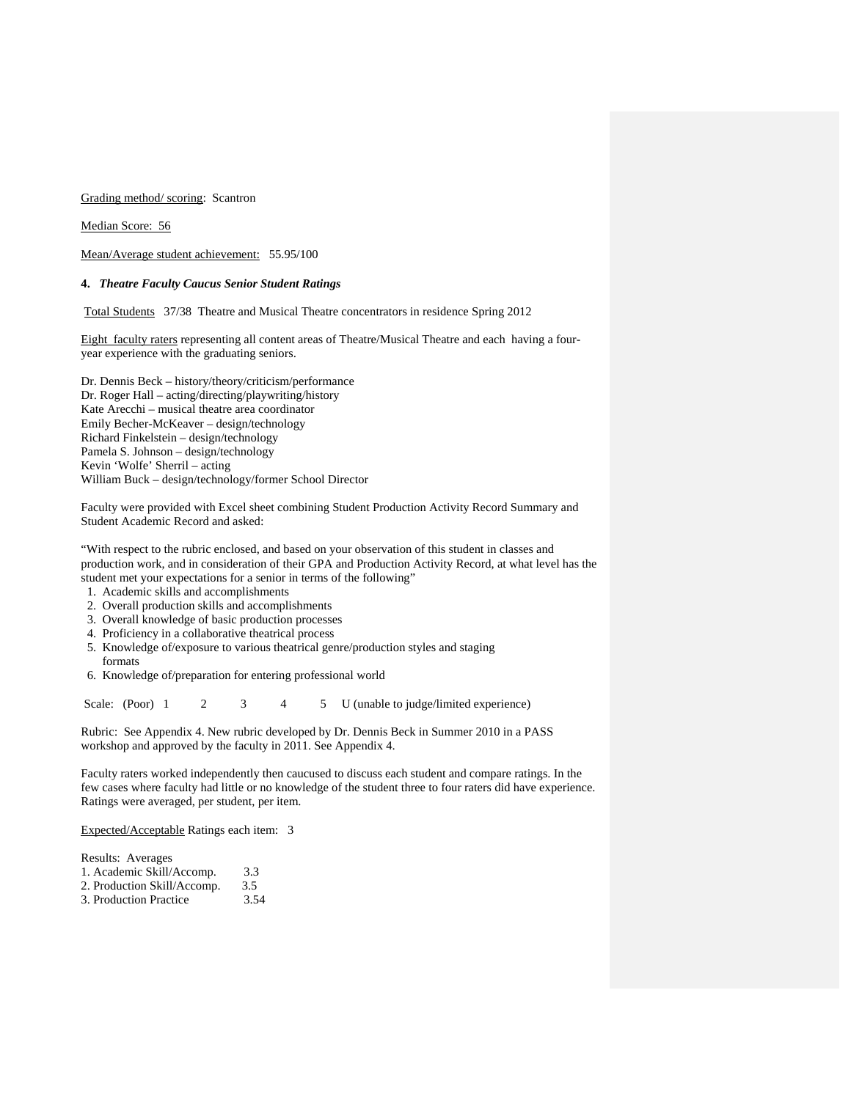Grading method/ scoring: Scantron

Median Score: 56

Mean/Average student achievement: 55.95/100

## **4.** *Theatre Faculty Caucus Senior Student Ratings*

Total Students 37/38 Theatre and Musical Theatre concentrators in residence Spring 2012

Eight faculty raters representing all content areas of Theatre/Musical Theatre and each having a fouryear experience with the graduating seniors.

Dr. Dennis Beck – history/theory/criticism/performance Dr. Roger Hall – acting/directing/playwriting/history Kate Arecchi – musical theatre area coordinator Emily Becher-McKeaver – design/technology Richard Finkelstein – design/technology Pamela S. Johnson – design/technology Kevin 'Wolfe' Sherril – acting William Buck – design/technology/former School Director

Faculty were provided with Excel sheet combining Student Production Activity Record Summary and Student Academic Record and asked:

"With respect to the rubric enclosed, and based on your observation of this student in classes and production work, and in consideration of their GPA and Production Activity Record, at what level has the student met your expectations for a senior in terms of the following"

- 1. Academic skills and accomplishments
- 2. Overall production skills and accomplishments
- 3. Overall knowledge of basic production processes
- 4. Proficiency in a collaborative theatrical process
- 5. Knowledge of/exposure to various theatrical genre/production styles and staging formats

6. Knowledge of/preparation for entering professional world

Scale: (Poor) 1 2 3 4 5 U (unable to judge/limited experience)

Rubric: See Appendix 4. New rubric developed by Dr. Dennis Beck in Summer 2010 in a PASS workshop and approved by the faculty in 2011. See Appendix 4.

Faculty raters worked independently then caucused to discuss each student and compare ratings. In the few cases where faculty had little or no knowledge of the student three to four raters did have experience. Ratings were averaged, per student, per item.

Expected/Acceptable Ratings each item: 3

| Results: Averages           |     |
|-----------------------------|-----|
| 1. Academic Skill/Accomp.   | 3.3 |
| 2. Production Skill/Accomp. | 3.5 |

3. Production Practice 3.54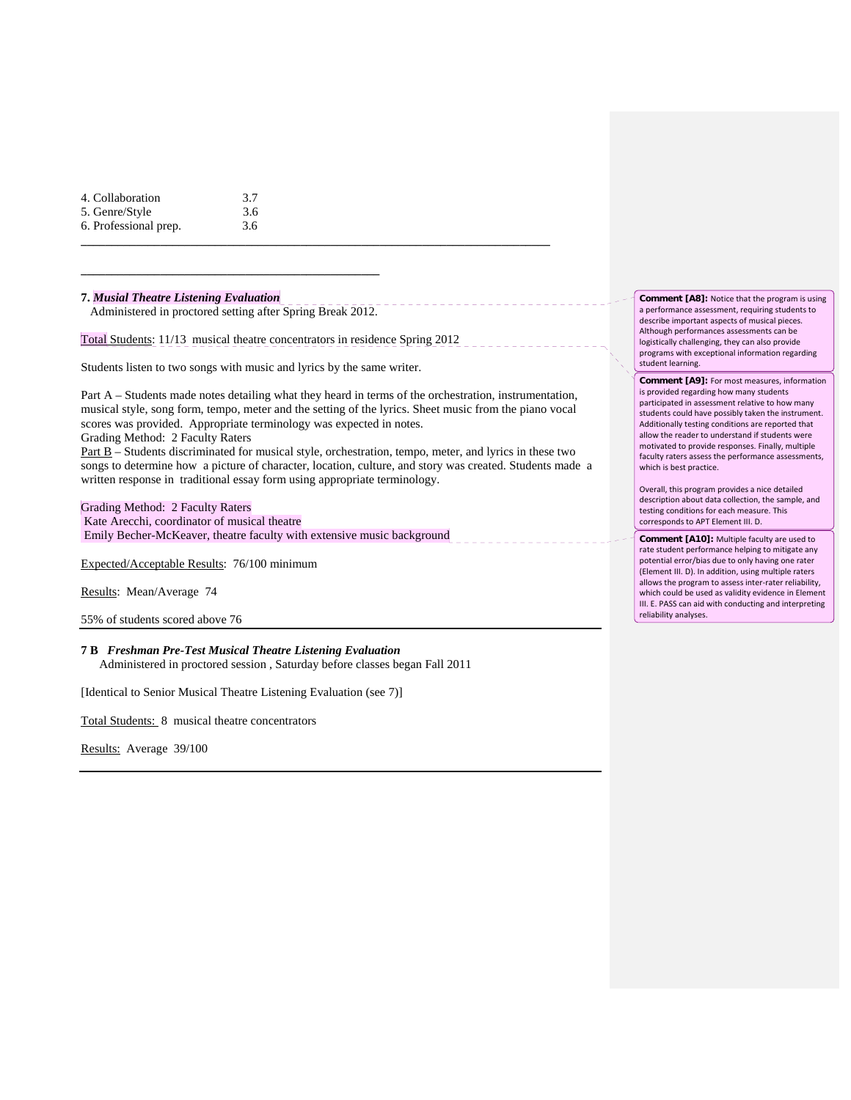| 4. Collaboration      | 3.7 |
|-----------------------|-----|
| 5. Genre/Style        | 3.6 |
| 6. Professional prep. | 3.6 |

## **7.** *Musial Theatre Listening Evaluation*

Administered in proctored setting after Spring Break 2012.

**\_\_\_\_\_\_\_\_\_\_\_\_\_\_\_\_\_\_\_\_\_\_\_\_\_\_\_\_\_\_\_\_\_\_\_\_\_\_\_\_\_\_\_\_\_\_\_\_\_**

Total Students: 11/13 musical theatre concentrators in residence Spring 2012

Students listen to two songs with music and lyrics by the same writer.

Part A – Students made notes detailing what they heard in terms of the orchestration, instrumentation, musical style, song form, tempo, meter and the setting of the lyrics. Sheet music from the piano vocal scores was provided. Appropriate terminology was expected in notes.

**\_\_\_\_\_\_\_\_\_\_\_\_\_\_\_\_\_\_\_\_\_\_\_\_\_\_\_\_\_\_\_\_\_\_\_\_\_\_\_\_\_\_\_\_\_\_\_\_\_\_\_\_\_\_\_\_\_\_\_\_\_\_\_\_\_\_\_\_\_\_\_\_\_\_\_\_\_**

Grading Method: 2 Faculty Raters

Part B – Students discriminated for musical style, orchestration, tempo, meter, and lyrics in these two songs to determine how a picture of character, location, culture, and story was created. Students made a written response in traditional essay form using appropriate terminology.

Grading Method: 2 Faculty Raters Kate Arecchi, coordinator of musical theatre Emily Becher-McKeaver, theatre faculty with extensive music background

Expected/Acceptable Results: 76/100 minimum

Results: Mean/Average 74

55% of students scored above 76

**7 B** *Freshman Pre-Test Musical Theatre Listening Evaluation* Administered in proctored session , Saturday before classes began Fall 2011

[Identical to Senior Musical Theatre Listening Evaluation (see 7)]

Total Students: 8 musical theatre concentrators

Results: Average 39/100

**Comment [A8]:** Notice that the program is using a performance assessment, requiring students to describe important aspects of musical pieces. Although performances assessments can be logistically challenging, they can also provide programs with exceptional information regarding student learning.

**Comment [A9]:** For most measures, information is provided regarding how many students participated in assessment relative to how many students could have possibly taken the instrument. Additionally testing conditions are reported that allow the reader to understand if students were motivated to provide responses. Finally, multiple faculty raters assess the performance assessments, which is best practice.

Overall, this program provides a nice detailed description about data collection, the sample, and testing conditions for each measure. This corresponds to APT Element III. D.

**Comment [A10]:** Multiple faculty are used to rate student performance helping to mitigate any potential error/bias due to only having one rater (Element III. D). In addition, using multiple raters allows the program to assess inter‐rater reliability, which could be used as validity evidence in Element III. E. PASS can aid with conducting and interpreting reliability analyses.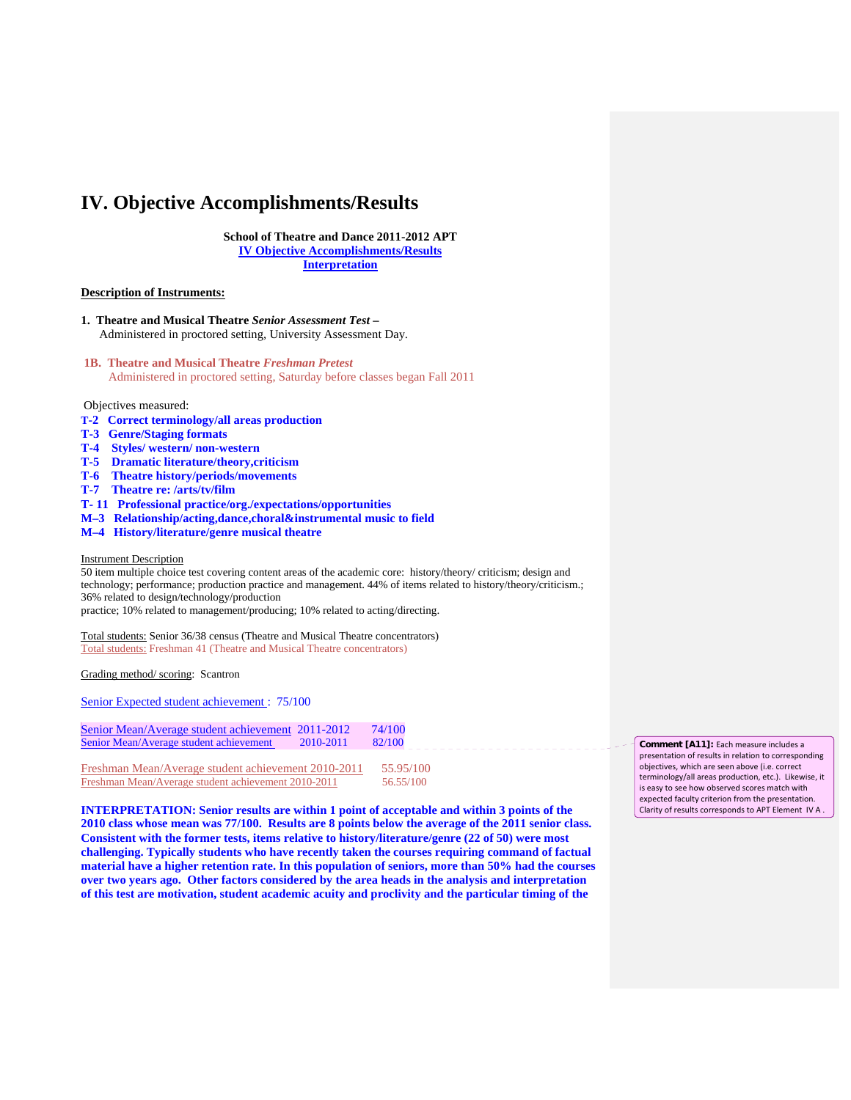## **IV. Objective Accomplishments/Results**

**School of Theatre and Dance 2011-2012 APT IV Objective Accomplishments/Results Interpretation**

#### **Description of Instruments:**

- **1. Theatre and Musical Theatre** *Senior Assessment Test* **–** Administered in proctored setting, University Assessment Day.
- **1B. Theatre and Musical Theatre** *Freshman Pretest* Administered in proctored setting, Saturday before classes began Fall 2011

#### Objectives measured:

- **T-2 Correct terminology/all areas production**
- **T-3 Genre/Staging formats**
- **T-4 Styles/ western/ non-western**
- **T-5 Dramatic literature/theory,criticism**
- **T-6 Theatre history/periods/movements**
- **T-7 Theatre re: /arts/tv/film**
- **T- 11 Professional practice/org./expectations/opportunities**
- **M–3 Relationship/acting,dance,choral&instrumental music to field**
- **M–4 History/literature/genre musical theatre**

#### Instrument Description

50 item multiple choice test covering content areas of the academic core: history/theory/ criticism; design and technology; performance; production practice and management. 44% of items related to history/theory/criticism.; 36% related to design/technology/production practice; 10% related to management/producing; 10% related to acting/directing.

Total students: Senior 36/38 census (Theatre and Musical Theatre concentrators) Total students: Freshman 41 (Theatre and Musical Theatre concentrators)

#### Grading method/ scoring: Scantron

Senior Expected student achievement : 75/100

| Senior Mean/Average student achievement 2011-2012 |           | 74/100 |
|---------------------------------------------------|-----------|--------|
| Senior Mean/Average student achievement           | 2010-2011 | 82/100 |

| Freshman Mean/Average student achievement 2010-2011 | 55.95/100 |
|-----------------------------------------------------|-----------|
| Freshman Mean/Average student achievement 2010-2011 | 56.55/100 |

**INTERPRETATION: Senior results are within 1 point of acceptable and within 3 points of the 2010 class whose mean was 77/100. Results are 8 points below the average of the 2011 senior class. Consistent with the former tests, items relative to history/literature/genre (22 of 50) were most challenging. Typically students who have recently taken the courses requiring command of factual material have a higher retention rate. In this population of seniors, more than 50% had the courses over two years ago. Other factors considered by the area heads in the analysis and interpretation of this test are motivation, student academic acuity and proclivity and the particular timing of the** 

**Comment [A11]:** Each measure includes a presentation of results in relation to corresponding objectives, which are seen above (i.e. correct terminology/all areas production, etc.). Likewise, it is easy to see how observed scores match with expected faculty criterion from the presentation. Clarity of results corresponds to APT Element IV A .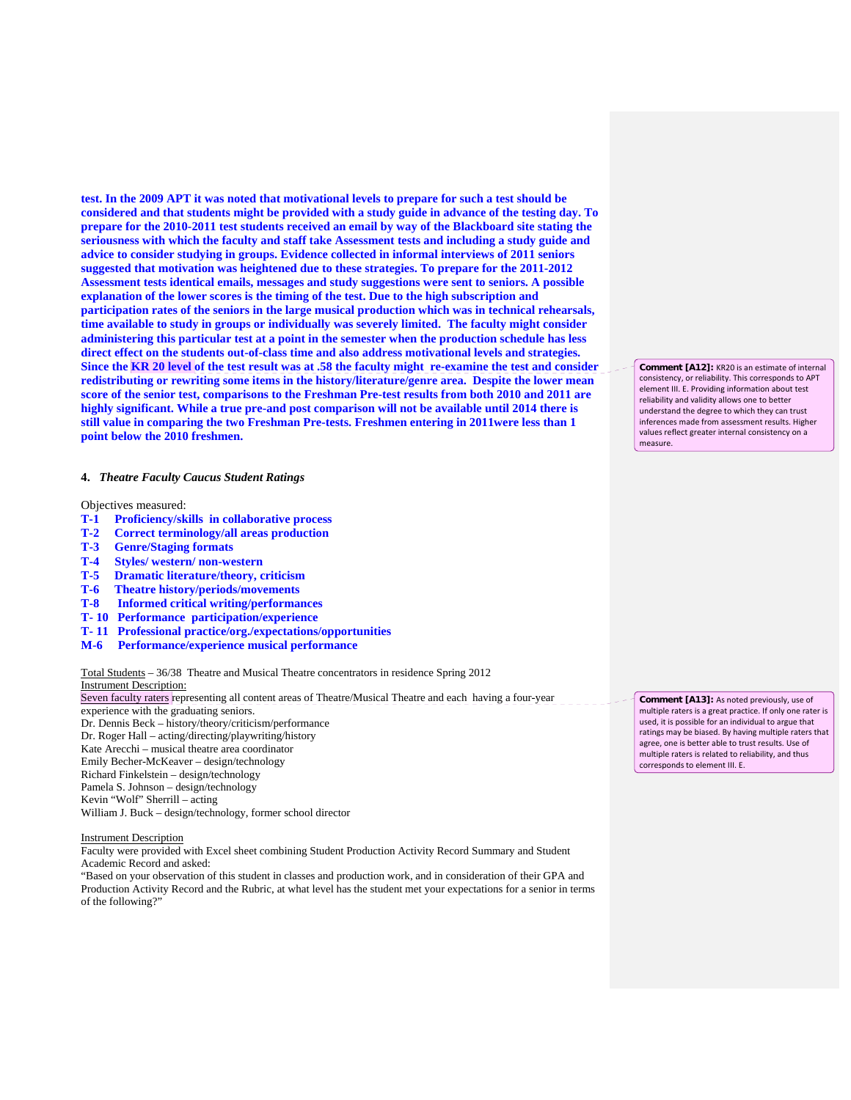**test. In the 2009 APT it was noted that motivational levels to prepare for such a test should be considered and that students might be provided with a study guide in advance of the testing day. To prepare for the 2010-2011 test students received an email by way of the Blackboard site stating the seriousness with which the faculty and staff take Assessment tests and including a study guide and advice to consider studying in groups. Evidence collected in informal interviews of 2011 seniors suggested that motivation was heightened due to these strategies. To prepare for the 2011-2012 Assessment tests identical emails, messages and study suggestions were sent to seniors. A possible explanation of the lower scores is the timing of the test. Due to the high subscription and participation rates of the seniors in the large musical production which was in technical rehearsals, time available to study in groups or individually was severely limited. The faculty might consider administering this particular test at a point in the semester when the production schedule has less direct effect on the students out-of-class time and also address motivational levels and strategies. Since the KR 20 level of the test result was at .58 the faculty might re-examine the test and consider redistributing or rewriting some items in the history/literature/genre area. Despite the lower mean score of the senior test, comparisons to the Freshman Pre-test results from both 2010 and 2011 are highly significant. While a true pre-and post comparison will not be available until 2014 there is still value in comparing the two Freshman Pre-tests. Freshmen entering in 2011were less than 1 point below the 2010 freshmen.**

#### **4.** *Theatre Faculty Caucus Student Ratings*

Objectives measured:

- **T-1 Proficiency/skills in collaborative process**
- **T-2 Correct terminology/all areas production**
- **T-3 Genre/Staging formats**
- **T-4 Styles/ western/ non-western**
- **T-5 Dramatic literature/theory, criticism**
- **T-6 Theatre history/periods/movements**
- **T-8 Informed critical writing/performances**
- **T- 10 Performance participation/experience**
- **T- 11 Professional practice/org./expectations/opportunities**
- **M-6 Performance/experience musical performance**

Total Students – 36/38 Theatre and Musical Theatre concentrators in residence Spring 2012 Instrument Description:

Seven faculty raters representing all content areas of Theatre/Musical Theatre and each having a four-year experience with the graduating seniors. Dr. Dennis Beck – history/theory/criticism/performance Dr. Roger Hall – acting/directing/playwriting/history Kate Arecchi – musical theatre area coordinator Emily Becher-McKeaver – design/technology Richard Finkelstein – design/technology Pamela S. Johnson – design/technology Kevin "Wolf" Sherrill – acting William J. Buck – design/technology, former school director

Instrument Description

Faculty were provided with Excel sheet combining Student Production Activity Record Summary and Student Academic Record and asked:

"Based on your observation of this student in classes and production work, and in consideration of their GPA and Production Activity Record and the Rubric, at what level has the student met your expectations for a senior in terms of the following?"

**Comment [A12]:** KR20 is an estimate of internal consistency, or reliability. This corresponds to APT element III. E. Providing information about test reliability and validity allows one to better understand the degree to which they can trust inferences made from assessment results. Higher values reflect greater internal consistency on a measure.

**Comment [A13]:** As noted previously, use of multiple raters is a great practice. If only one rater is used, it is possible for an individual to argue that ratings may be biased. By having multiple raters that agree, one is better able to trust results. Use of multiple raters is related to reliability, and thus corresponds to element III. E.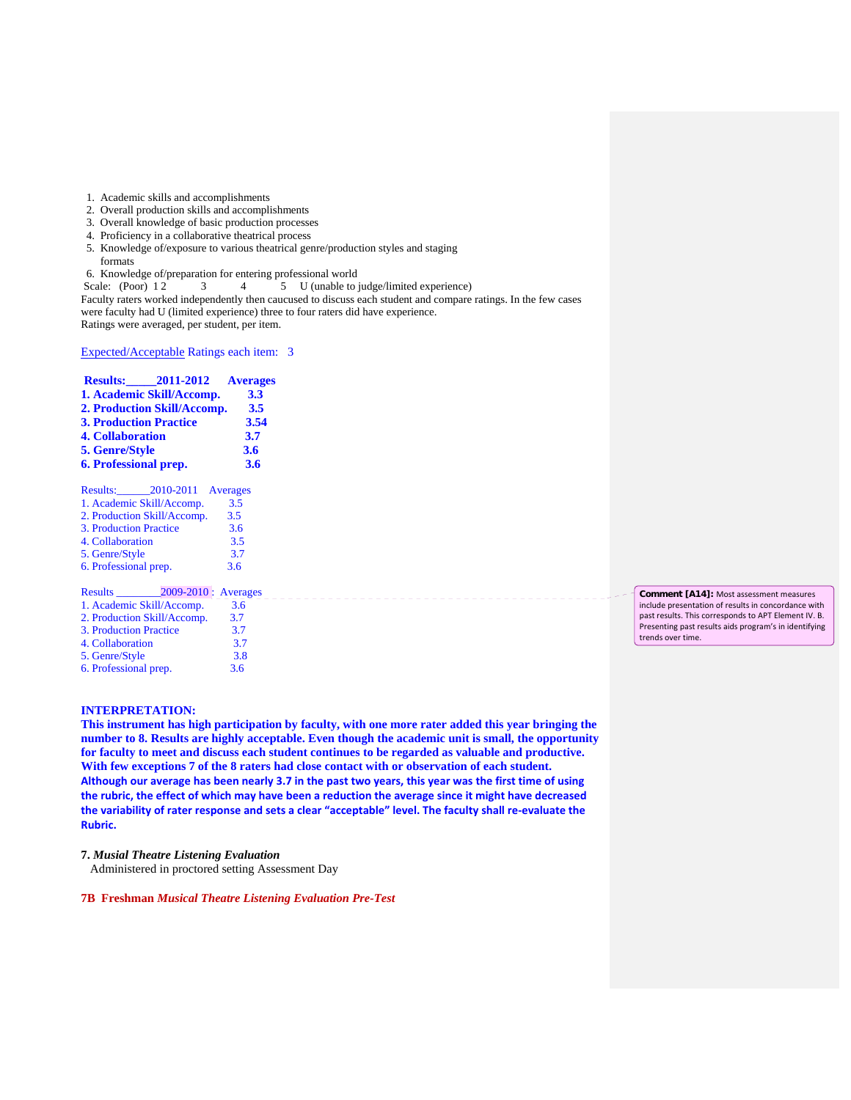1. Academic skills and accomplishments

- 2. Overall production skills and accomplishments
- 3. Overall knowledge of basic production processes
- 4. Proficiency in a collaborative theatrical process
- 5. Knowledge of/exposure to various theatrical genre/production styles and staging formats

6. Knowledge of/preparation for entering professional world

Scale: (Poor) 12 3 4 5 U (unable to judge/limited experience)

Faculty raters worked independently then caucused to discuss each student and compare ratings. In the few cases were faculty had U (limited experience) three to four raters did have experience. Ratings were averaged, per student, per item.

Expected/Acceptable Ratings each item: 3

|                               | Results: 2011-2012 Averages |      |
|-------------------------------|-----------------------------|------|
|                               | 1. Academic Skill/Accomp.   | 3.3  |
|                               | 2. Production Skill/Accomp. | 3.5  |
| <b>3. Production Practice</b> |                             | 3.54 |
| <b>4. Collaboration</b>       |                             | 3.7  |
| 5. Genre/Style                |                             | 3.6  |
| <b>6. Professional prep.</b>  |                             | 3.6  |
|                               |                             |      |

| Results: 2010-2011 Averages |     |
|-----------------------------|-----|
| 1. Academic Skill/Accomp.   | 3.5 |
| 2. Production Skill/Accomp. | 3.5 |
| 3. Production Practice      | 3.6 |
| 4. Collaboration            | 3.5 |
| 5. Genre/Style              | 3.7 |
| 6. Professional prep.       | 3.6 |

| <b>Results</b>              | $2009-2010$ : Averages |     |
|-----------------------------|------------------------|-----|
| 1. Academic Skill/Accomp.   |                        | 3.6 |
| 2. Production Skill/Accomp. |                        | 3.7 |
| 3. Production Practice      |                        | 3.7 |
| 4. Collaboration            |                        | 3.7 |
| 5. Genre/Style              |                        | 3.8 |
| 6. Professional prep.       |                        | 3.6 |

### **INTERPRETATION:**

**This instrument has high participation by faculty, with one more rater added this year bringing the number to 8. Results are highly acceptable. Even though the academic unit is small, the opportunity for faculty to meet and discuss each student continues to be regarded as valuable and productive. With few exceptions 7 of the 8 raters had close contact with or observation of each student.**  Although our average has been nearly 3.7 in the past two years, this year was the first time of using the rubric, the effect of which may have been a reduction the average since it might have decreased the variability of rater response and sets a clear "acceptable" level. The faculty shall re-evaluate the **Rubric.**

#### **7.** *Musial Theatre Listening Evaluation*

Administered in proctored setting Assessment Day

**7B Freshman** *Musical Theatre Listening Evaluation Pre-Test*

**Comment [A14]:** Most assessment measures include presentation of results in concordance with past results. This corresponds to APT Element IV. B. Presenting past results aids program's in identifying trends over time.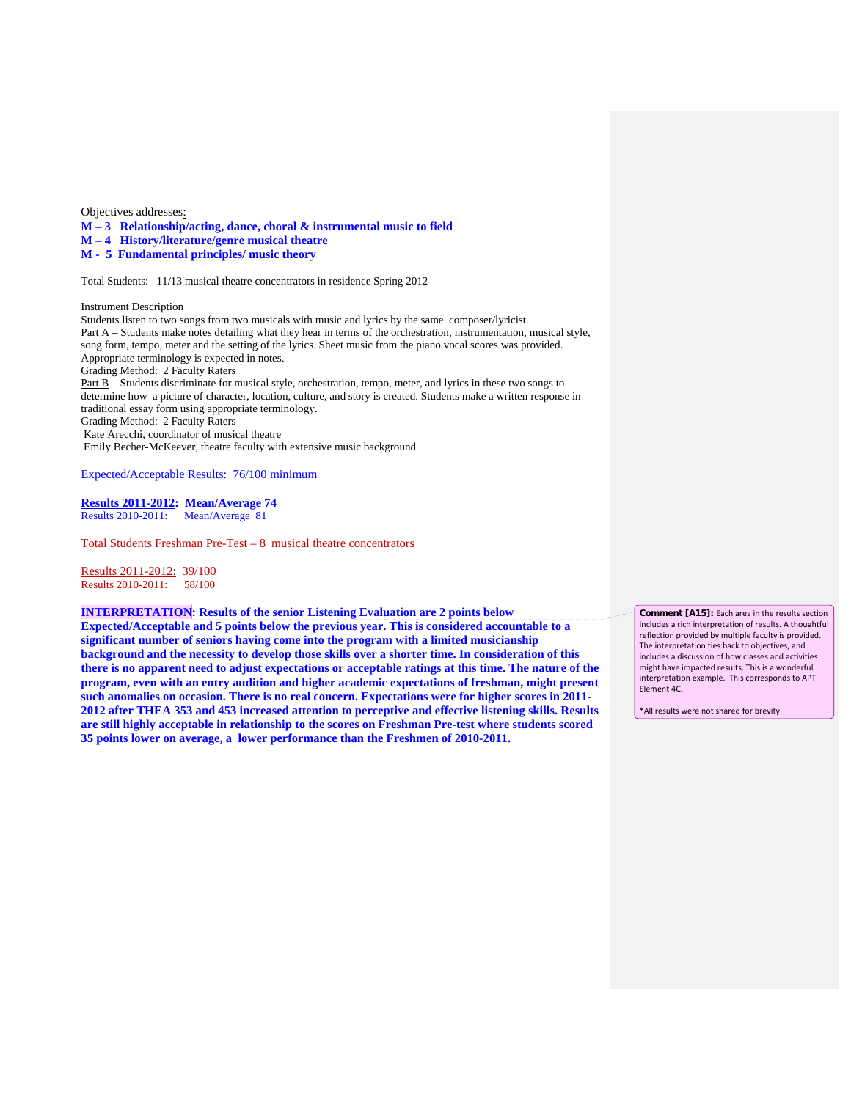Objectives addresses:

**M – 3 Relationship/acting, dance, choral & instrumental music to field**

**M – 4 History/literature/genre musical theatre**

**M - 5 Fundamental principles/ music theory**

Total Students: 11/13 musical theatre concentrators in residence Spring 2012

Instrument Description

Students listen to two songs from two musicals with music and lyrics by the same composer/lyricist. Part A – Students make notes detailing what they hear in terms of the orchestration, instrumentation, musical style, song form, tempo, meter and the setting of the lyrics. Sheet music from the piano vocal scores was provided. Appropriate terminology is expected in notes. Grading Method: 2 Faculty Raters Part B – Students discriminate for musical style, orchestration, tempo, meter, and lyrics in these two songs to determine how a picture of character, location, culture, and story is created. Students make a written response in traditional essay form using appropriate terminology. Grading Method: 2 Faculty Raters Kate Arecchi, coordinator of musical theatre Emily Becher-McKeever, theatre faculty with extensive music background

Expected/Acceptable Results: 76/100 minimum

**Results 2011-2012: Mean/Average 74** Results 2010-2011: Mean/Average 81

Total Students Freshman Pre-Test – 8 musical theatre concentrators

Results 2011-2012: 39/100 Results 2010-2011: 58/100

**INTERPRETATION: Results of the senior Listening Evaluation are 2 points below Expected/Acceptable and 5 points below the previous year. This is considered accountable to a significant number of seniors having come into the program with a limited musicianship background and the necessity to develop those skills over a shorter time. In consideration of this there is no apparent need to adjust expectations or acceptable ratings at this time. The nature of the program, even with an entry audition and higher academic expectations of freshman, might present such anomalies on occasion. There is no real concern. Expectations were for higher scores in 2011- 2012 after THEA 353 and 453 increased attention to perceptive and effective listening skills. Results are still highly acceptable in relationship to the scores on Freshman Pre-test where students scored 35 points lower on average, a lower performance than the Freshmen of 2010-2011.** 

**Comment [A15]:** Each area in the results section includes a rich interpretation of results. A thoughtful reflection provided by multiple faculty is provided. The interpretation ties back to objectives, and includes a discussion of how classes and activities might have impacted results. This is a wonderful interpretation example. This corresponds to APT Element 4C.

\*All results were not shared for brevity.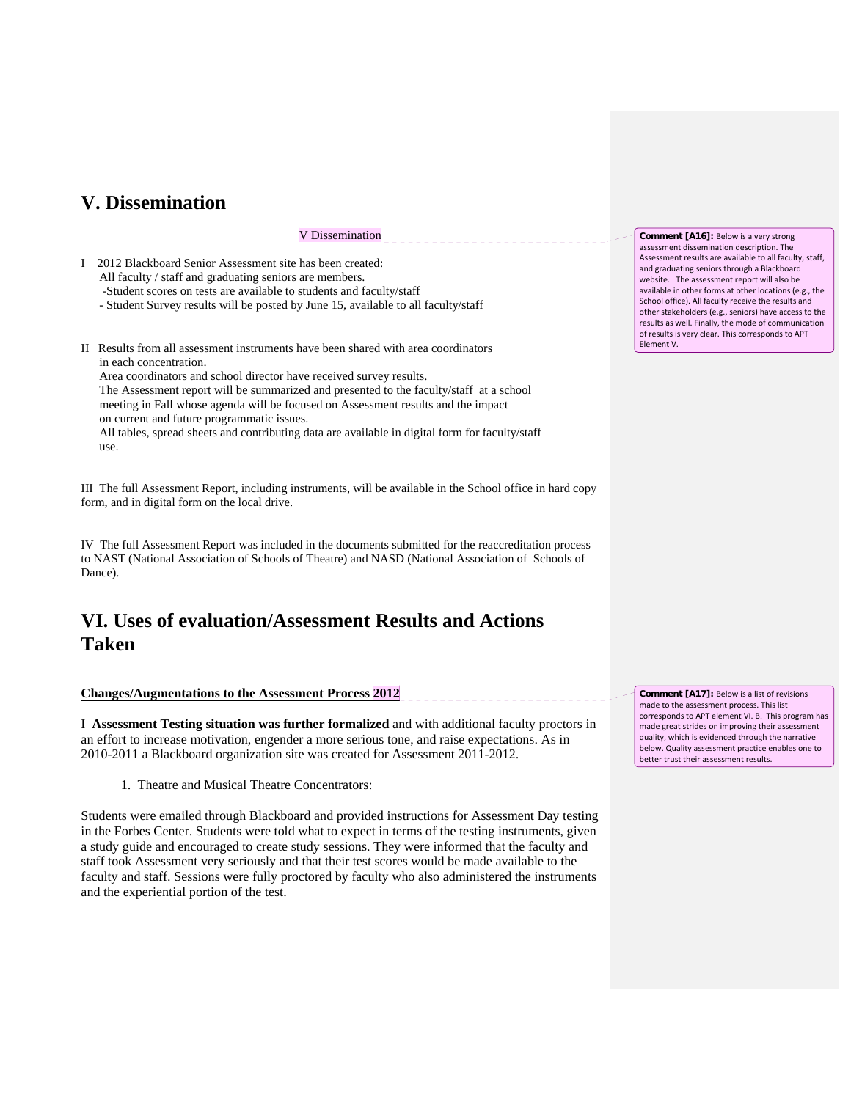# **V. Dissemination**

## V Dissemination

- I 2012 Blackboard Senior Assessment site has been created: All faculty / staff and graduating seniors are members. -Student scores on tests are available to students and faculty/staff
	- Student Survey results will be posted by June 15, available to all faculty/staff
- II Results from all assessment instruments have been shared with area coordinators in each concentration.

 Area coordinators and school director have received survey results. The Assessment report will be summarized and presented to the faculty/staff at a school meeting in Fall whose agenda will be focused on Assessment results and the impact on current and future programmatic issues.

 All tables, spread sheets and contributing data are available in digital form for faculty/staff use.

III The full Assessment Report, including instruments, will be available in the School office in hard copy form, and in digital form on the local drive.

IV The full Assessment Report was included in the documents submitted for the reaccreditation process to NAST (National Association of Schools of Theatre) and NASD (National Association of Schools of Dance).

# **VI. Uses of evaluation/Assessment Results and Actions Taken**

### **Changes/Augmentations to the Assessment Process 2012**

I **Assessment Testing situation was further formalized** and with additional faculty proctors in an effort to increase motivation, engender a more serious tone, and raise expectations. As in 2010-2011 a Blackboard organization site was created for Assessment 2011-2012.

1. Theatre and Musical Theatre Concentrators:

Students were emailed through Blackboard and provided instructions for Assessment Day testing in the Forbes Center. Students were told what to expect in terms of the testing instruments, given a study guide and encouraged to create study sessions. They were informed that the faculty and staff took Assessment very seriously and that their test scores would be made available to the faculty and staff. Sessions were fully proctored by faculty who also administered the instruments and the experiential portion of the test.

**Comment [A16]:** Below is a very strong assessment dissemination description. The Assessment results are available to all faculty, staff, and graduating seniors through a Blackboard website. The assessment report will also be available in other forms at other locations (e.g., the School office). All faculty receive the results and other stakeholders (e.g., seniors) have access to the results as well. Finally, the mode of communication of results is very clear. This corresponds to APT Element V.

**Comment [A17]:** Below is a list of revisions made to the assessment process. This list corresponds to APT element VI. B. This program has made great strides on improving their assessment quality, which is evidenced through the narrative below. Quality assessment practice enables one to better trust their assessment results.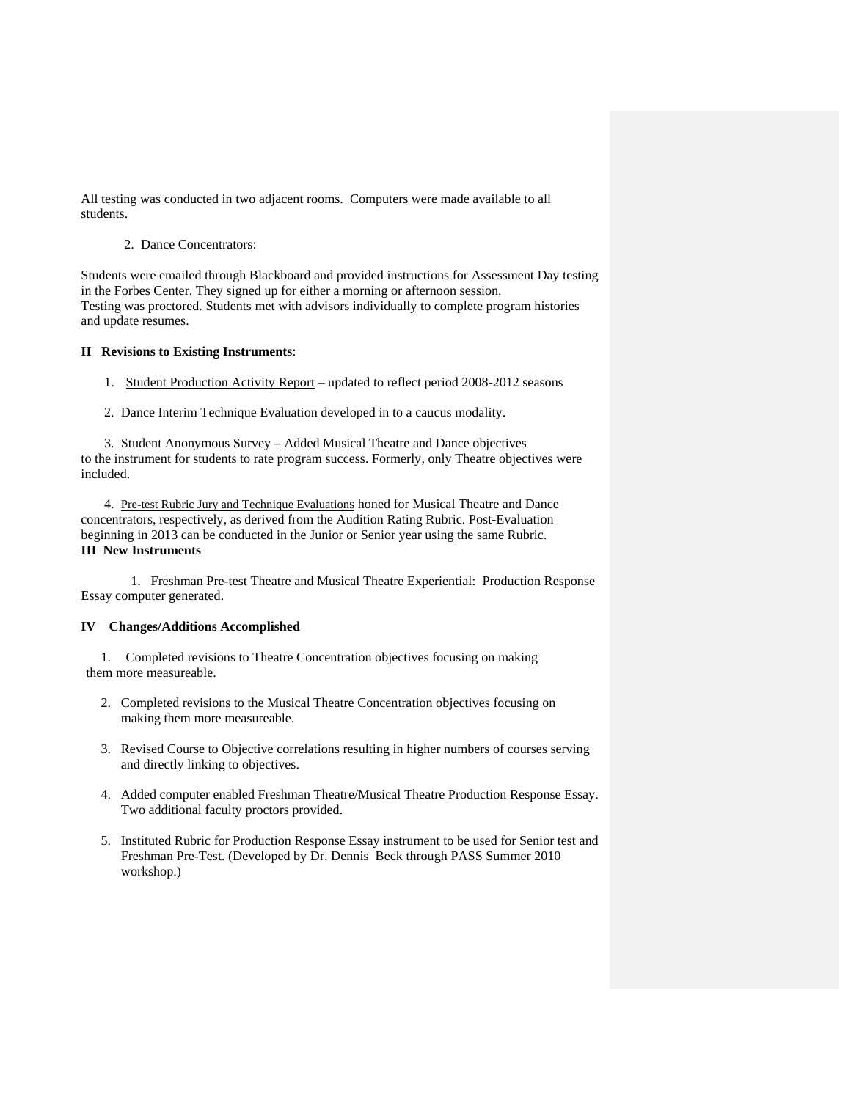All testing was conducted in two adjacent rooms. Computers were made available to all students.

2. Dance Concentrators:

Students were emailed through Blackboard and provided instructions for Assessment Day testing in the Forbes Center. They signed up for either a morning or afternoon session. Testing was proctored. Students met with advisors individually to complete program histories and update resumes.

## **II Revisions to Existing Instruments**:

1. Student Production Activity Report – updated to reflect period 2008-2012 seasons

2. Dance Interim Technique Evaluation developed in to a caucus modality.

 3. Student Anonymous Survey – Added Musical Theatre and Dance objectives to the instrument for students to rate program success. Formerly, only Theatre objectives were included.

 4. Pre-test Rubric Jury and Technique Evaluations honed for Musical Theatre and Dance concentrators, respectively, as derived from the Audition Rating Rubric. Post-Evaluation beginning in 2013 can be conducted in the Junior or Senior year using the same Rubric. **III New Instruments**

 1. Freshman Pre-test Theatre and Musical Theatre Experiential: Production Response Essay computer generated.

## **IV Changes/Additions Accomplished**

1. Completed revisions to Theatre Concentration objectives focusing on making them more measureable.

- 2. Completed revisions to the Musical Theatre Concentration objectives focusing on making them more measureable.
- 3. Revised Course to Objective correlations resulting in higher numbers of courses serving and directly linking to objectives.
- 4. Added computer enabled Freshman Theatre/Musical Theatre Production Response Essay. Two additional faculty proctors provided.
- 5. Instituted Rubric for Production Response Essay instrument to be used for Senior test and Freshman Pre-Test. (Developed by Dr. Dennis Beck through PASS Summer 2010 workshop.)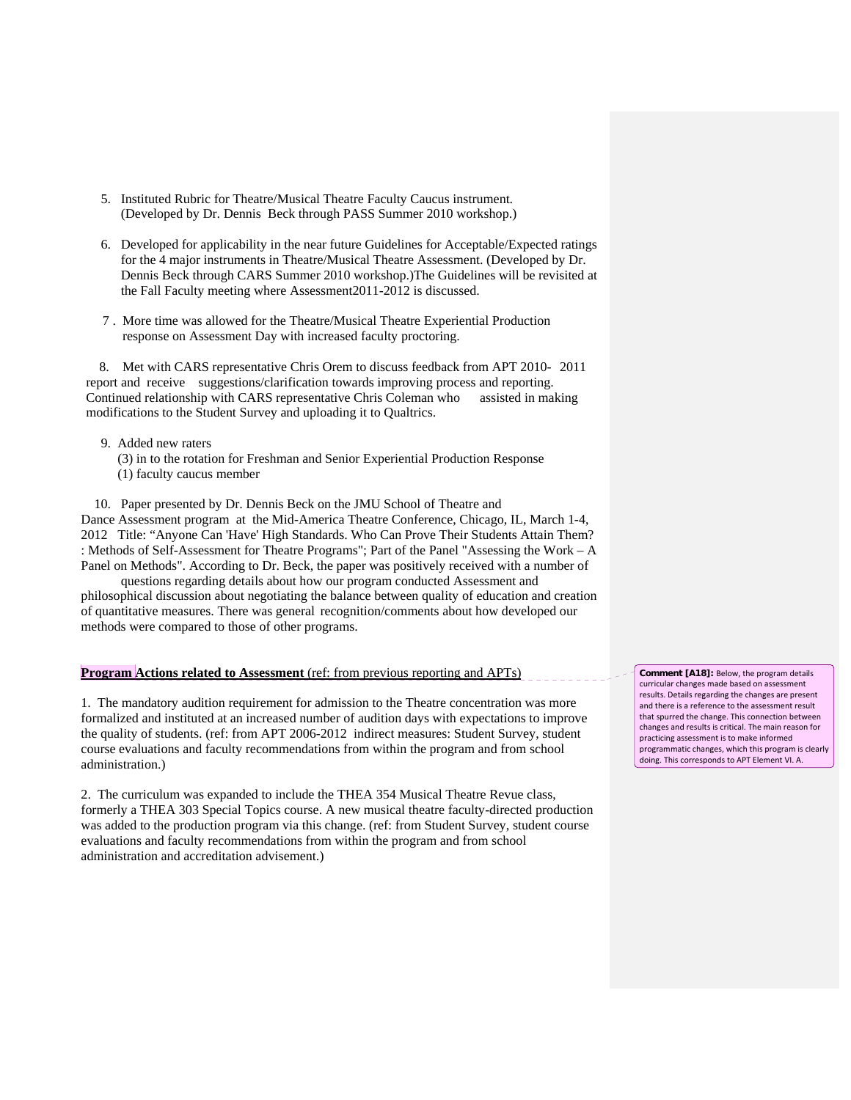- 5. Instituted Rubric for Theatre/Musical Theatre Faculty Caucus instrument. (Developed by Dr. Dennis Beck through PASS Summer 2010 workshop.)
- 6. Developed for applicability in the near future Guidelines for Acceptable/Expected ratings for the 4 major instruments in Theatre/Musical Theatre Assessment. (Developed by Dr. Dennis Beck through CARS Summer 2010 workshop.)The Guidelines will be revisited at the Fall Faculty meeting where Assessment2011-2012 is discussed.
- 7 . More time was allowed for the Theatre/Musical Theatre Experiential Production response on Assessment Day with increased faculty proctoring.

 8. Met with CARS representative Chris Orem to discuss feedback from APT 2010- 2011 report and receive suggestions/clarification towards improving process and reporting. Continued relationship with CARS representative Chris Coleman who assisted in making modifications to the Student Survey and uploading it to Qualtrics.

- 9. Added new raters
	- (3) in to the rotation for Freshman and Senior Experiential Production Response (1) faculty caucus member

 10. Paper presented by Dr. Dennis Beck on the JMU School of Theatre and Dance Assessment program at the Mid-America Theatre Conference, Chicago, IL, March 1-4, 2012 Title: "Anyone Can 'Have' High Standards. Who Can Prove Their Students Attain Them? : Methods of Self-Assessment for Theatre Programs"; Part of the Panel "Assessing the Work – A Panel on Methods". According to Dr. Beck, the paper was positively received with a number of

 questions regarding details about how our program conducted Assessment and philosophical discussion about negotiating the balance between quality of education and creation of quantitative measures. There was general recognition/comments about how developed our methods were compared to those of other programs.

## **Program Actions related to Assessment** (ref: from previous reporting and APTs)

1. The mandatory audition requirement for admission to the Theatre concentration was more formalized and instituted at an increased number of audition days with expectations to improve the quality of students. (ref: from APT 2006-2012 indirect measures: Student Survey, student course evaluations and faculty recommendations from within the program and from school administration.)

2. The curriculum was expanded to include the THEA 354 Musical Theatre Revue class, formerly a THEA 303 Special Topics course. A new musical theatre faculty-directed production was added to the production program via this change. (ref: from Student Survey, student course evaluations and faculty recommendations from within the program and from school administration and accreditation advisement.)

**Comment [A18]:** Below, the program details curricular changes made based on assessment results. Details regarding the changes are present and there is a reference to the assessment result that spurred the change. This connection between changes and results is critical. The main reason for practicing assessment is to make informed programmatic changes, which this program is clearly doing. This corresponds to APT Element VI. A.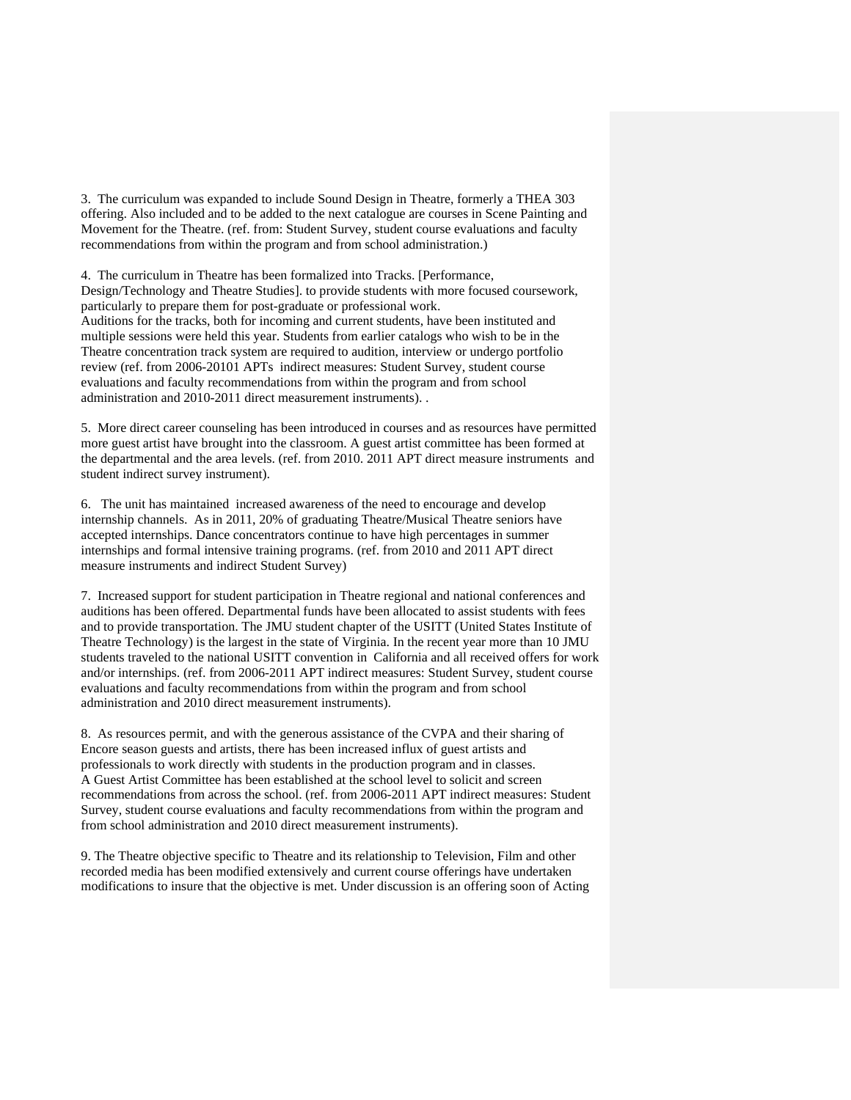3. The curriculum was expanded to include Sound Design in Theatre, formerly a THEA 303 offering. Also included and to be added to the next catalogue are courses in Scene Painting and Movement for the Theatre. (ref. from: Student Survey, student course evaluations and faculty recommendations from within the program and from school administration.)

4. The curriculum in Theatre has been formalized into Tracks. [Performance, Design/Technology and Theatre Studies]. to provide students with more focused coursework, particularly to prepare them for post-graduate or professional work. Auditions for the tracks, both for incoming and current students, have been instituted and multiple sessions were held this year. Students from earlier catalogs who wish to be in the Theatre concentration track system are required to audition, interview or undergo portfolio review (ref. from 2006-20101 APTs indirect measures: Student Survey, student course evaluations and faculty recommendations from within the program and from school administration and 2010-2011 direct measurement instruments). .

5. More direct career counseling has been introduced in courses and as resources have permitted more guest artist have brought into the classroom. A guest artist committee has been formed at the departmental and the area levels. (ref. from 2010. 2011 APT direct measure instruments and student indirect survey instrument).

6. The unit has maintained increased awareness of the need to encourage and develop internship channels. As in 2011, 20% of graduating Theatre/Musical Theatre seniors have accepted internships. Dance concentrators continue to have high percentages in summer internships and formal intensive training programs. (ref. from 2010 and 2011 APT direct measure instruments and indirect Student Survey)

7. Increased support for student participation in Theatre regional and national conferences and auditions has been offered. Departmental funds have been allocated to assist students with fees and to provide transportation. The JMU student chapter of the USITT (United States Institute of Theatre Technology) is the largest in the state of Virginia. In the recent year more than 10 JMU students traveled to the national USITT convention in California and all received offers for work and/or internships. (ref. from 2006-2011 APT indirect measures: Student Survey, student course evaluations and faculty recommendations from within the program and from school administration and 2010 direct measurement instruments).

8. As resources permit, and with the generous assistance of the CVPA and their sharing of Encore season guests and artists, there has been increased influx of guest artists and professionals to work directly with students in the production program and in classes. A Guest Artist Committee has been established at the school level to solicit and screen recommendations from across the school. (ref. from 2006-2011 APT indirect measures: Student Survey, student course evaluations and faculty recommendations from within the program and from school administration and 2010 direct measurement instruments).

9. The Theatre objective specific to Theatre and its relationship to Television, Film and other recorded media has been modified extensively and current course offerings have undertaken modifications to insure that the objective is met. Under discussion is an offering soon of Acting